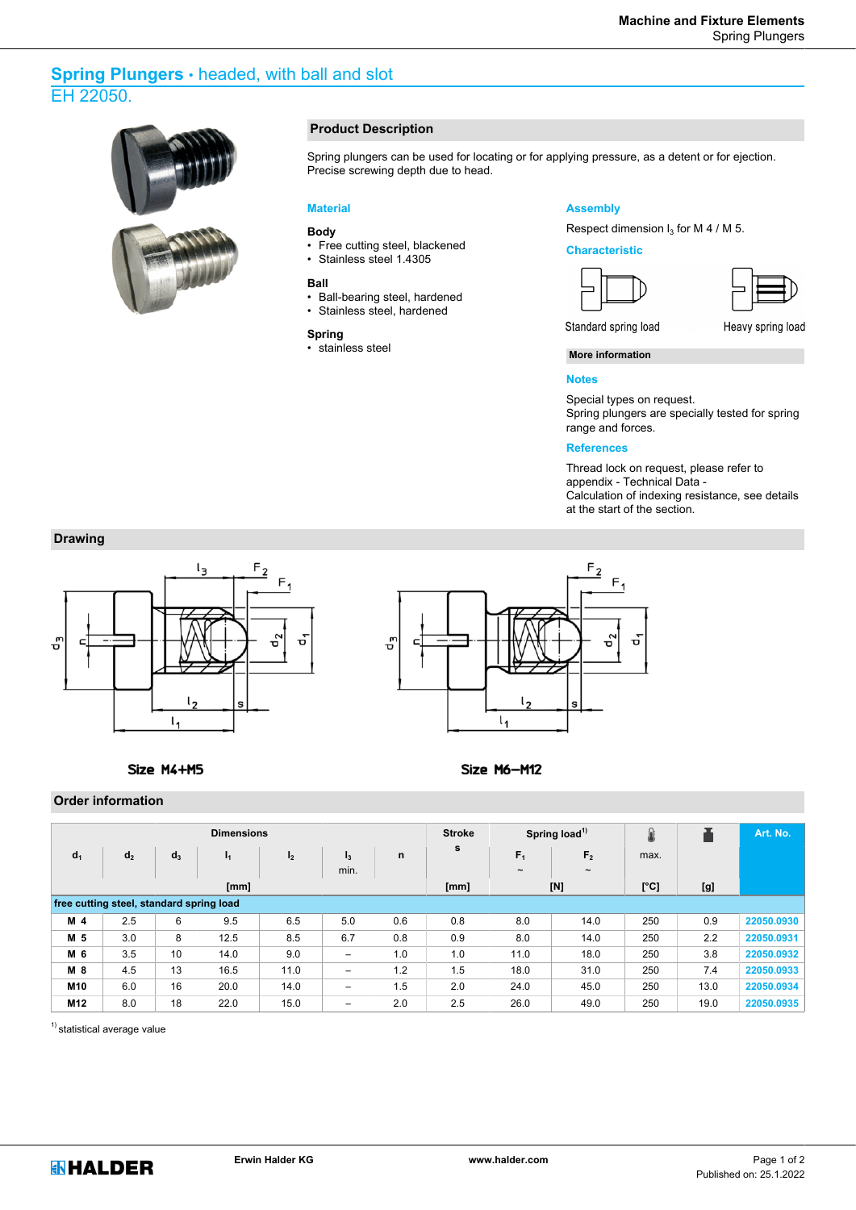# **Spring Plungers** • headed, with ball and slot EH 22050.



#### **Product Description**

Spring plungers can be used for locating or for applying pressure, as a detent or for ejection. Precise screwing depth due to head.

#### **Material**

#### **Body**

- Free cutting steel, blackened
- Stainless steel 1.4305

#### **Ball**

- Ball-bearing steel, hardened
- Stainless steel, hardened

### **Spring**

• stainless steel

#### **Assembly**

Respect dimension  $I_3$  for M 4 / M 5.

#### **Characteristic**







Standard spring load

Heavy spring load

#### **More information**

#### **Notes**

Special types on request. Spring plungers are specially tested for spring range and forces.

#### **References**

Thread lock on request, please refer to appendix - Technical Data - Calculation of indexing resistance, see details at the start of the section.

## **Drawing**





Size M6-M12

#### Size M4+M5

**Order information**

| <b>Dimensions</b>                        |                |       |                |                |                          |      |     | Spring load <sup>1)</sup> |                | 8    |      | Art. No.   |
|------------------------------------------|----------------|-------|----------------|----------------|--------------------------|------|-----|---------------------------|----------------|------|------|------------|
| d <sub>1</sub>                           | d <sub>2</sub> | $d_3$ | $\mathbf{I_1}$ | I <sub>2</sub> | $I_3$                    | n    | s   | F <sub>1</sub>            | F <sub>2</sub> | max. |      |            |
|                                          |                |       |                |                | min.                     |      |     | $\tilde{}$                | $\tilde{}$     |      |      |            |
|                                          |                |       | [mm]           |                |                          | [mm] |     | [N]                       | [°C]           | [g]  |      |            |
| free cutting steel, standard spring load |                |       |                |                |                          |      |     |                           |                |      |      |            |
| M <sub>4</sub>                           | 2.5            | 6     | 9.5            | 6.5            | 5.0                      | 0.6  | 0.8 | 8.0                       | 14.0           | 250  | 0.9  | 22050.0930 |
| M 5                                      | 3.0            | 8     | 12.5           | 8.5            | 6.7                      | 0.8  | 0.9 | 8.0                       | 14.0           | 250  | 2.2  | 22050.0931 |
| M 6                                      | 3.5            | 10    | 14.0           | 9.0            | $\overline{\phantom{0}}$ | 1.0  | 1.0 | 11.0                      | 18.0           | 250  | 3.8  | 22050.0932 |
| M 8                                      | 4.5            | 13    | 16.5           | 11.0           | -                        | 1.2  | 1.5 | 18.0                      | 31.0           | 250  | 7.4  | 22050.0933 |
| M10                                      | 6.0            | 16    | 20.0           | 14.0           | $\overline{\phantom{0}}$ | 1.5  | 2.0 | 24.0                      | 45.0           | 250  | 13.0 | 22050.0934 |
| M12                                      | 8.0            | 18    | 22.0           | 15.0           | -                        | 2.0  | 2.5 | 26.0                      | 49.0           | 250  | 19.0 | 22050.0935 |

<sup>1)</sup> statistical average value